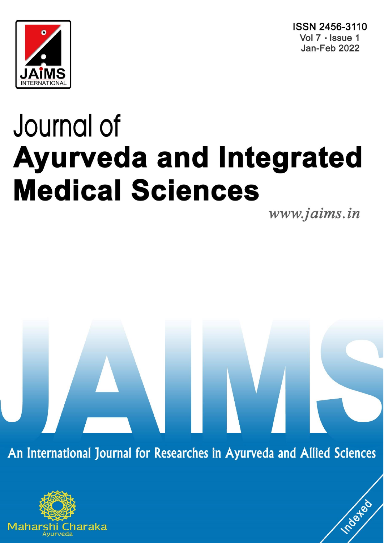



# Journal of **Ayurveda and Integrated Medical Sciences**

www.jaims.in

roated

An International Journal for Researches in Ayurveda and Allied Sciences

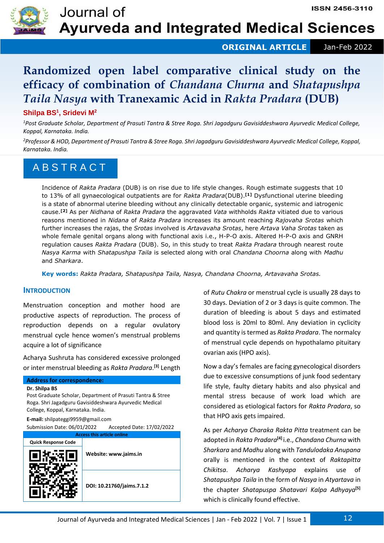

# **ORIGINAL ARTICLE** Jan-Feb 2022

# **Randomized open label comparative clinical study on the efficacy of combination of** *Chandana Churna* **and** *Shatapushpa Taila Nasya* **with Tranexamic Acid in** *Rakta Pradara* **(DUB)**

### **Shilpa BS<sup>1</sup> , Sridevi M<sup>2</sup>**

*<sup>1</sup>Post Graduate Scholar, Department of Prasuti Tantra & Stree Roga. Shri Jagadguru Gavisiddeshwara Ayurvedic Medical College, Koppal, Karnataka. India.* 

*<sup>2</sup>Professor & HOD, Department of Prasuti Tantra & Stree Roga. Shri Jagadguru Gavisiddeshwara Ayurvedic Medical College, Koppal, Karnataka. India.* 

# A B S T R A C T

Incidence of *Rakta Pradara* (DUB) is on rise due to life style changes. Rough estimate suggests that 10 to 13% of all gynaecological outpatients are for *Rakta Pradara*(DUB).**[1]** Dysfunctional uterine bleeding is a state of abnormal uterine bleeding without any clinically detectable organic, systemic and iatrogenic cause.**[2]** As per *Nidhana* of *Rakta Pradara* the aggravated *Vata* withholds *Rakta* vitiated due to various reasons mentioned in *Nidana* of *Rakta Pradara* increases its amount reaching *Rajovaha Srotas* which further increases the rajas, the *Srotas* involved is *Artavavaha Srotas*, here *Artava Vaha Srotas* taken as whole female genital organs along with functional axis i.e., H-P-O axis. Altered H-P-O axis and GNRH regulation causes *Rakta Pradara* (DUB). So, in this study to treat *Rakta Pradara* through nearest route *Nasya Karma* with *Shatapushpa Taila* is selected along with oral *Chandana Choorna* along with *Madhu* and *Sharkara*.

**Key words:** *Rakta Pradara, Shatapushpa Taila, Nasya, Chandana Choorna, Artavavaha Srotas.*

#### **INTRODUCTION**

Menstruation conception and mother hood are productive aspects of reproduction. The process of reproduction depends on a regular ovulatory menstrual cycle hence women's menstrual problems acquire a lot of significance

Acharya Sushruta has considered excessive prolonged or inter menstrual bleeding as *Rakta Pradara*. **[3]** Length

#### **Address for correspondence:**

#### **Dr. Shilpa BS**

Post Graduate Scholar, Department of Prasuti Tantra & Stree Roga. Shri Jagadguru Gavisiddeshwara Ayurvedic Medical College, Koppal, Karnataka. India.

**E-mail:** shilpateggi9959@gmail.com Submission Date: 06/01/2022 Accepted Date: 17/02/2022



of *Rutu Chakra* or menstrual cycle is usually 28 days to 30 days. Deviation of 2 or 3 days is quite common. The duration of bleeding is about 5 days and estimated blood loss is 20ml to 80ml. Any deviation in cyclicity and quantity is termed as *Rakta Pradara*. The normalcy of menstrual cycle depends on hypothalamo pituitary ovarian axis (HPO axis).

Now a day's females are facing gynecological disorders due to excessive consumptions of junk food sedentary life style, faulty dietary habits and also physical and mental stress because of work load which are considered as etiological factors for *Rakta Pradara*, so that HPO axis gets impaired.

As per *Acharya Charaka Rakta Pitta* treatment can be adopted in *Rakta Pradara***[4]** i.e., *Chandana Churna* with *Sharkara* and *Madhu* along with *Tandulodaka Anupana* orally is mentioned in the context of *Raktapitta Chikitsa*. *Acharya Kashyapa* explains use of *Shatapushpa Taila* in the form of *Nasya* in *Atyartava* in the chapter *Shatapuspa Shatavari Kalpa Adhyaya***[5]** which is clinically found effective.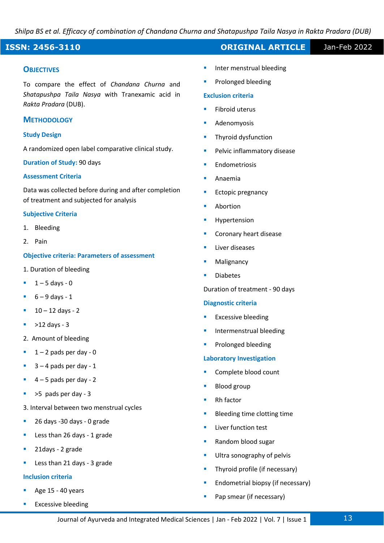# **ISSN: 2456-3110 ORIGINAL ARTICLE** Jan-Feb 2022

#### **OBJECTIVES**

To compare the effect of *Chandana Churna* and *Shatapushpa Taila Nasya* with Tranexamic acid in *Rakta Pradara* (DUB).

#### **METHODOLOGY**

#### **Study Design**

A randomized open label comparative clinical study.

**Duration of Study:** 90 days

#### **Assessment Criteria**

Data was collected before during and after completion of treatment and subjected for analysis

#### **Subjective Criteria**

- 1. Bleeding
- 2. Pain

#### **Objective criteria: Parameters of assessment**

- 1. Duration of bleeding
- $1 5$  days 0
- $6 9$  days 1
- $10 12$  days 2
- >12 days 3
- 2. Amount of bleeding
- $1 2$  pads per day 0
- $3 4$  pads per day 1
- $4 5$  pads per day 2
- >5 pads per day 3
- 3. Interval between two menstrual cycles
- 26 days -30 days 0 grade
- Less than 26 days 1 grade
- 21days 2 grade
- Less than 21 days 3 grade

#### **Inclusion criteria**

- Age 15 40 years
- **Excessive bleeding**
- Inter menstrual bleeding
- Prolonged bleeding

#### **Exclusion criteria**

- Fibroid uterus
- **Adenomyosis**
- Thyroid dysfunction
- Pelvic inflammatory disease
- **Endometriosis**
- Anaemia
- **Ectopic pregnancy**
- Abortion
- **Hypertension**
- Coronary heart disease
- Liver diseases
- Malignancy
- **Diabetes**

Duration of treatment - 90 days

#### **Diagnostic criteria**

- **Excessive bleeding**
- Intermenstrual bleeding
- Prolonged bleeding

#### **Laboratory Investigation**

- Complete blood count
- **Blood group**
- **Rh** factor
- Bleeding time clotting time
- **Liver function test**
- Random blood sugar
- **■** Ultra sonography of pelvis
- Thyroid profile (if necessary)
- Endometrial biopsy (if necessary)
- Pap smear (if necessary)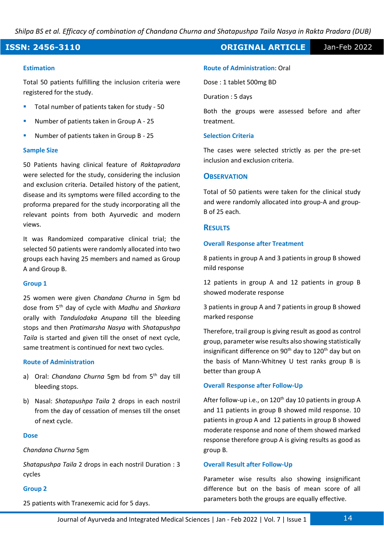### **ISSN: 2456-3110 ORIGINAL ARTICLE** Jan-Feb 2022

#### **Estimation**

Total 50 patients fulfilling the inclusion criteria were registered for the study.

- Total number of patients taken for study 50
- Number of patients taken in Group A 25
- Number of patients taken in Group B 25

#### **Sample Size**

50 Patients having clinical feature of *Raktapradara* were selected for the study, considering the inclusion and exclusion criteria. Detailed history of the patient, disease and its symptoms were filled according to the proforma prepared for the study incorporating all the relevant points from both Ayurvedic and modern views.

It was Randomized comparative clinical trial; the selected 50 patients were randomly allocated into two groups each having 25 members and named as Group A and Group B.

#### **Group 1**

25 women were given *Chandana Churna* in 5gm bd dose from 5th day of cycle with *Madhu* and *Sharkara* orally with *Tandulodaka Anupana* till the bleeding stops and then *Pratimarsha Nasya* with *Shatapushpa Taila* is started and given till the onset of next cycle, same treatment is continued for next two cycles.

#### **Route of Administration**

- a) Oral: *Chandana Churna* 5gm bd from 5<sup>th</sup> day till bleeding stops.
- b) Nasal: *Shatapushpa Taila* 2 drops in each nostril from the day of cessation of menses till the onset of next cycle.

#### **Dose**

#### *Chandana Churna* 5gm

*Shatapushpa Taila* 2 drops in each nostril Duration : 3 cycles

#### **Group 2**

25 patients with Tranexemic acid for 5 days.

#### **Route of Administration:** Oral

Dose : 1 tablet 500mg BD

Duration : 5 days

Both the groups were assessed before and after treatment.

#### **Selection Criteria**

The cases were selected strictly as per the pre-set inclusion and exclusion criteria.

#### **OBSERVATION**

Total of 50 patients were taken for the clinical study and were randomly allocated into group-A and group-B of 25 each.

#### **RESULTS**

#### **Overall Response after Treatment**

8 patients in group A and 3 patients in group B showed mild response

12 patients in group A and 12 patients in group B showed moderate response

3 patients in group A and 7 patients in group B showed marked response

Therefore, trail group is giving result as good as control group, parameter wise results also showing statistically insignificant difference on  $90<sup>th</sup>$  day to  $120<sup>th</sup>$  day but on the basis of Mann-Whitney U test ranks group B is better than group A

#### **Overall Response after Follow-Up**

After follow-up i.e., on  $120<sup>th</sup>$  day 10 patients in group A and 11 patients in group B showed mild response. 10 patients in group A and 12 patients in group B showed moderate response and none of them showed marked response therefore group A is giving results as good as group B.

#### **Overall Result after Follow-Up**

Parameter wise results also showing insignificant difference but on the basis of mean score of all parameters both the groups are equally effective.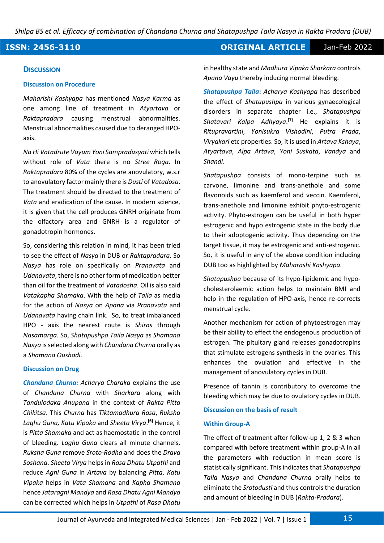## **ISSN: 2456-3110 ORIGINAL ARTICLE** Jan-Feb 2022

#### **DISCUSSION**

#### **Discussion on Procedure**

*Maharishi Kashyapa* has mentioned *Nasya Karma* as one among line of treatment in *Atyartava* or *Raktapradara* causing menstrual abnormalities. Menstrual abnormalities caused due to deranged HPOaxis.

*Na Hi Vatadrute Vayum Yoni Sampradusyati* which tells without role of *Vata* there is no *Stree Roga*. In *Raktapradara* 80% of the cycles are anovulatory, w.s.r to anovulatory factor mainly there is *Dusti* of *Vatadosa*. The treatment should be directed to the treatment of *Vata* and eradication of the cause. In modern science, it is given that the cell produces GNRH originate from the olfactory area and GNRH is a regulator of gonadotropin hormones.

So, considering this relation in mind, it has been tried to see the effect of *Nasya* in DUB or *Raktapradara*. So *Nasya* has role on specifically on *Pranavata* and *Udanavata*, there is no other form of medication better than oil for the treatment of *Vatadosha*. Oil is also said *Vatakapha Shamaka*. With the help of *Taila* as media for the action of *Nasya* on *Apana* via *Pranavata* and *Udanavata* having chain link. So, to treat imbalanced HPO - axis the nearest route is *Shiras* through *Nasamarga*. So, *Shatapushpa Taila Nasya* as *Shamana Nasya* is selected along with *Chandana Churna* orally as a *Shamana Oushadi*.

#### **Discussion on Drug**

*Chandana Churna: Acharya Charaka* explains the use of *Chandana Churna* with *Sharkara* along with *Tandulodaka Anupana* in the context of *Rakta Pitta Chikitsa*. This *Churna* has *Tiktamadhura Rasa*, *Ruksha Laghu Guna, Katu Vipaka* and *Sheeta Virya*. **[6]** Hence, it is *Pitta Shamaka* and act as haemostatic in the control of bleeding. *Laghu Guna* clears all minute channels, *Ruksha Guna* remove *Sroto*-*Rodha* and does the *Drava Soshana*. *Sheeta Virya* helps in *Rasa Dhatu Utpathi* and reduce *Agni Guna* in *Artava* by balancing *Pitta*. *Katu Vipaka* helps in *Vata Shamana* and *Kapha Shamana* hence *Jataragni Mandya* and *Rasa Dhatu Agni Mandya* can be corrected which helps in *Utpathi* of *Rasa Dhatu*

in healthy state and *Madhura Vipaka Sharkara* controls *Apana Vayu* thereby inducing normal bleeding.

*Shatapushpa Taila***:** *Acharya Kashyapa* has described the effect of *Shatapushpa* in various gynaecological disorders in separate chapter i.e., *Shatapushpa Shatavari Kalpa Adhyaya*. **[7]** He explains it is *Ritupravartini*, *Yonisukra Vishodini*, *Putra Prada*, *Viryakari* etc properties. So, it is used in *Artava Kshaya*, *Atyartava*, *Alpa Artava*, *Yoni Suskata*, *Vandya* and *Shandi*.

*Shatapushpa* consists of mono-terpine such as carvone, limonine and trans-anethole and some flavonoids such as kaemferol and veccin. Kaemferol, trans-anethole and limonine exhibit phyto-estrogenic activity. Phyto-estrogen can be useful in both hyper estrogenic and hypo estrogenic state in the body due to their adoptogenic activity. Thus depending on the target tissue, it may be estrogenic and anti-estrogenic. So, it is useful in any of the above condition including DUB too as highlighted by *Maharashi Kashyapa*.

*Shatapushpa* because of its hypo-lipidemic and hypocholesterolaemic action helps to maintain BMI and help in the regulation of HPO-axis, hence re-corrects menstrual cycle.

Another mechanism for action of phytoestrogen may be their ability to effect the endogenous production of estrogen. The pituitary gland releases gonadotropins that stimulate estrogens synthesis in the ovaries. This enhances the ovulation and effective in the management of anovulatory cycles in DUB.

Presence of tannin is contributory to overcome the bleeding which may be due to ovulatory cycles in DUB.

#### **Discussion on the basis of result**

#### **Within Group-A**

The effect of treatment after follow-up 1, 2 & 3 when compared with before treatment within group-A in all the parameters with reduction in mean score is statistically significant. This indicates that *Shatapushpa Taila Nasya* and *Chandana Churna* orally helps to eliminate the *Srotodusti* and thus controls the duration and amount of bleeding in DUB (*Rakta*-*Pradara*).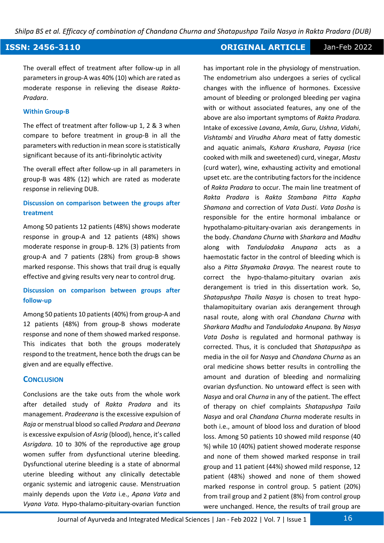## **ISSN: 2456-3110 ORIGINAL ARTICLE** Jan-Feb 2022

The overall effect of treatment after follow-up in all parameters in group-A was 40% (10) which are rated as moderate response in relieving the disease *Rakta*-*Pradara*.

#### **Within Group-B**

The effect of treatment after follow-up 1, 2 & 3 when compare to before treatment in group-B in all the parameters with reduction in mean score is statistically significant because of its anti-fibrinolytic activity

The overall effect after follow-up in all parameters in group-B was 48% (12) which are rated as moderate response in relieving DUB.

#### **Discussion on comparison between the groups after treatment**

Among 50 patients 12 patients (48%) shows moderate response in group-A and 12 patients (48%) shows moderate response in group-B. 12% (3) patients from group-A and 7 patients (28%) from group-B shows marked response. This shows that trail drug is equally effective and giving results very near to control drug.

## **Discussion on comparison between groups after follow-up**

Among 50 patients 10 patients (40%) from group-A and 12 patients (48%) from group-B shows moderate response and none of them showed marked response. This indicates that both the groups moderately respond to the treatment, hence both the drugs can be given and are equally effective.

#### **CONCLUSION**

Conclusions are the take outs from the whole work after detailed study of *Rakta Pradara* and its management. *Pradeerana* is the excessive expulsion of *Raja* or menstrual blood so called *Pradara* and *Deerana* is excessive expulsion of *Asrig* (blood), hence, it's called *Asrigdara.* 10 to 30% of the reproductive age group women suffer from dysfunctional uterine bleeding. Dysfunctional uterine bleeding is a state of abnormal uterine bleeding without any clinically detectable organic systemic and iatrogenic cause. Menstruation mainly depends upon the *Vata* i.e., *Apana Vata* and *Vyana Vata.* Hypo-thalamo-pituitary-ovarian function

has important role in the physiology of menstruation. The endometrium also undergoes a series of cyclical changes with the influence of hormones. Excessive amount of bleeding or prolonged bleeding per vagina with or without associated features, any one of the above are also important symptoms of *Rakta Pradara.* Intake of excessive *Lavana*, *Amla*, *Guru*, *Ushna*, *Vidahi*, *Vishtambi* and *Virudha Ahara* meat of fatty domestic and aquatic animals, *Kshara Krushara*, *Payasa* (rice cooked with milk and sweetened) curd, vinegar, *Mastu* (curd water), wine, exhausting activity and emotional upset etc. are the contributing factors for the incidence of *Rakta Pradara* to occur. The main line treatment of *Rakta Pradara* is *Rakta Stambana Pitta Kapha Shamana* and correction of *Vata Dusti*. *Vata Dosha* is responsible for the entire hormonal imbalance or hypothalamo-pituitary-ovarian axis derangements in the body. *Chandana Churna* with *Sharkara* and *Madhu* along with *Tandulodaka Anupana* acts as a haemostatic factor in the control of bleeding which is also a *Pitta Shyamaka Dravya.* The nearest route to correct the hypo-thalamo-pituitary ovarian axis derangement is tried in this dissertation work. So, *Shatapushpa Thaila Nasya* is chosen to treat hypothalamopituitary ovarian axis derangement through nasal route, along with oral *Chandana Churna* with *Sharkara Madhu* and *Tandulodaka Anupana.* By *Nasya Vata Dosha* is regulated and hormonal pathway is corrected. Thus, it is concluded that *Shatapushpa* as media in the oil for *Nasya* and *Chandana Churna* as an oral medicine shows better results in controlling the amount and duration of bleeding and normalizing ovarian dysfunction. No untoward effect is seen with *Nasya* and oral *Churna* in any of the patient. The effect of therapy on chief complaints *Shatapushpa Taila Nasya* and oral *Chandana Churna* moderate results in both i.e., amount of blood loss and duration of blood loss. Among 50 patients 10 showed mild response (40 %) while 10 (40%) patient showed moderate response and none of them showed marked response in trail group and 11 patient (44%) showed mild response, 12 patient (48%) showed and none of them showed marked response in control group. 5 patient (20%) from trail group and 2 patient (8%) from control group were unchanged. Hence, the results of trail group are